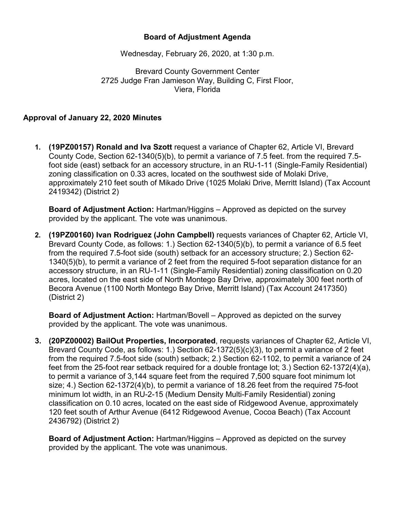## **Board of Adjustment Agenda**

Wednesday, February 26, 2020, at 1:30 p.m.

Brevard County Government Center 2725 Judge Fran Jamieson Way, Building C, First Floor, Viera, Florida

## **Approval of January 22, 2020 Minutes**

**1. (19PZ00157) Ronald and Iva Szott** request a variance of Chapter 62, Article VI, Brevard County Code, Section 62-1340(5)(b), to permit a variance of 7.5 feet. from the required 7.5 foot side (east) setback for an accessory structure, in an RU-1-11 (Single-Family Residential) zoning classification on 0.33 acres, located on the southwest side of Molaki Drive, approximately 210 feet south of Mikado Drive (1025 Molaki Drive, Merritt Island) (Tax Account 2419342) (District 2)

**Board of Adjustment Action:** Hartman/Higgins – Approved as depicted on the survey provided by the applicant. The vote was unanimous.

**2. (19PZ00160) Ivan Rodriguez (John Campbell)** requests variances of Chapter 62, Article VI, Brevard County Code, as follows: 1.) Section 62-1340(5)(b), to permit a variance of 6.5 feet from the required 7.5-foot side (south) setback for an accessory structure; 2.) Section 62- 1340(5)(b), to permit a variance of 2 feet from the required 5-foot separation distance for an accessory structure, in an RU-1-11 (Single-Family Residential) zoning classification on 0.20 acres, located on the east side of North Montego Bay Drive, approximately 300 feet north of Becora Avenue (1100 North Montego Bay Drive, Merritt Island) (Tax Account 2417350) (District 2)

**Board of Adjustment Action:** Hartman/Bovell – Approved as depicted on the survey provided by the applicant. The vote was unanimous.

**3. (20PZ00002) BailOut Properties, Incorporated**, requests variances of Chapter 62, Article VI, Brevard County Code, as follows: 1.) Section 62-1372(5)(c)(3), to permit a variance of 2 feet from the required 7.5-foot side (south) setback; 2.) Section 62-1102, to permit a variance of 24 feet from the 25-foot rear setback required for a double frontage lot; 3.) Section 62-1372(4)(a), to permit a variance of 3,144 square feet from the required 7,500 square foot minimum lot size; 4.) Section 62-1372(4)(b), to permit a variance of 18.26 feet from the required 75-foot minimum lot width, in an RU-2-15 (Medium Density Multi-Family Residential) zoning classification on 0.10 acres, located on the east side of Ridgewood Avenue, approximately 120 feet south of Arthur Avenue (6412 Ridgewood Avenue, Cocoa Beach) (Tax Account 2436792) (District 2)

**Board of Adjustment Action:** Hartman/Higgins – Approved as depicted on the survey provided by the applicant. The vote was unanimous.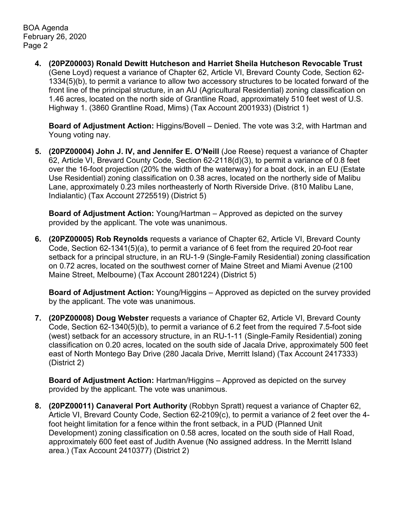BOA Agenda February 26, 2020 Page 2

> **4. (20PZ00003) Ronald Dewitt Hutcheson and Harriet Sheila Hutcheson Revocable Trust** (Gene Loyd) request a variance of Chapter 62, Article VI, Brevard County Code, Section 62- 1334(5)(b), to permit a variance to allow two accessory structures to be located forward of the front line of the principal structure, in an AU (Agricultural Residential) zoning classification on 1.46 acres, located on the north side of Grantline Road, approximately 510 feet west of U.S. Highway 1. (3860 Grantline Road, Mims) (Tax Account 2001933) (District 1)

**Board of Adjustment Action:** Higgins/Bovell – Denied. The vote was 3:2, with Hartman and Young voting nay.

**5. (20PZ00004) John J. IV, and Jennifer E. O'Neill** (Joe Reese) request a variance of Chapter 62, Article VI, Brevard County Code, Section 62-2118(d)(3), to permit a variance of 0.8 feet over the 16-foot projection (20% the width of the waterway) for a boat dock, in an EU (Estate Use Residential) zoning classification on 0.38 acres, located on the northerly side of Malibu Lane, approximately 0.23 miles northeasterly of North Riverside Drive. (810 Malibu Lane, Indialantic) (Tax Account 2725519) (District 5)

**Board of Adjustment Action:** Young/Hartman – Approved as depicted on the survey provided by the applicant. The vote was unanimous.

**6. (20PZ00005) Rob Reynolds** requests a variance of Chapter 62, Article VI, Brevard County Code, Section 62-1341(5)(a), to permit a variance of 6 feet from the required 20-foot rear setback for a principal structure, in an RU-1-9 (Single-Family Residential) zoning classification on 0.72 acres, located on the southwest corner of Maine Street and Miami Avenue (2100 Maine Street, Melbourne) (Tax Account 2801224) (District 5)

**Board of Adjustment Action:** Young/Higgins – Approved as depicted on the survey provided by the applicant. The vote was unanimous.

**7. (20PZ00008) Doug Webster** requests a variance of Chapter 62, Article VI, Brevard County Code, Section 62-1340(5)(b), to permit a variance of 6.2 feet from the required 7.5-foot side (west) setback for an accessory structure, in an RU-1-11 (Single-Family Residential) zoning classification on 0.20 acres, located on the south side of Jacala Drive, approximately 500 feet east of North Montego Bay Drive (280 Jacala Drive, Merritt Island) (Tax Account 2417333) (District 2)

**Board of Adjustment Action:** Hartman/Higgins – Approved as depicted on the survey provided by the applicant. The vote was unanimous.

**8. (20PZ00011) Canaveral Port Authority** (Robbyn Spratt) request a variance of Chapter 62, Article VI, Brevard County Code, Section 62-2109(c), to permit a variance of 2 feet over the 4 foot height limitation for a fence within the front setback, in a PUD (Planned Unit Development) zoning classification on 0.58 acres, located on the south side of Hall Road, approximately 600 feet east of Judith Avenue (No assigned address. In the Merritt Island area.) (Tax Account 2410377) (District 2)